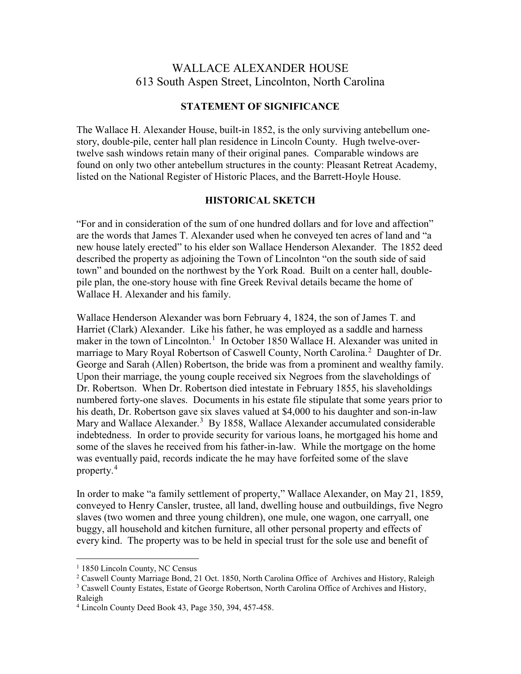## WALLACE ALEXANDER HOUSE 613 South Aspen Street, Lincolnton, North Carolina

## **STATEMENT OF SIGNIFICANCE**

The Wallace H. Alexander House, built-in 1852, is the only surviving antebellum onestory, double-pile, center hall plan residence in Lincoln County. Hugh twelve-overtwelve sash windows retain many of their original panes. Comparable windows are found on only two other antebellum structures in the county: Pleasant Retreat Academy, listed on the National Register of Historic Places, and the Barrett-Hoyle House.

## **HISTORICAL SKETCH**

"For and in consideration of the sum of one hundred dollars and for love and affection" are the words that James T. Alexander used when he conveyed ten acres of land and "a new house lately erected" to his elder son Wallace Henderson Alexander. The 1852 deed described the property as adjoining the Town of Lincolnton "on the south side of said town" and bounded on the northwest by the York Road. Built on a center hall, doublepile plan, the one-story house with fine Greek Revival details became the home of Wallace H. Alexander and his family.

Wallace Henderson Alexander was born February 4, 1824, the son of James T. and Harriet (Clark) Alexander. Like his father, he was employed as a saddle and harness maker in the town of Lincolnton.<sup>[1](#page-0-0)</sup> In October 1850 Wallace H. Alexander was united in marriage to Mary Royal Robertson of Caswell County, North Carolina.<sup>[2](#page-0-1)</sup> Daughter of Dr. George and Sarah (Allen) Robertson, the bride was from a prominent and wealthy family. Upon their marriage, the young couple received six Negroes from the slaveholdings of Dr. Robertson. When Dr. Robertson died intestate in February 1855, his slaveholdings numbered forty-one slaves. Documents in his estate file stipulate that some years prior to his death, Dr. Robertson gave six slaves valued at \$4,000 to his daughter and son-in-law Mary and Wallace Alexander.<sup>[3](#page-0-2)</sup> By 1858, Wallace Alexander accumulated considerable indebtedness. In order to provide security for various loans, he mortgaged his home and some of the slaves he received from his father-in-law. While the mortgage on the home was eventually paid, records indicate the he may have forfeited some of the slave property.[4](#page-0-3)

In order to make "a family settlement of property," Wallace Alexander, on May 21, 1859, conveyed to Henry Cansler, trustee, all land, dwelling house and outbuildings, five Negro slaves (two women and three young children), one mule, one wagon, one carryall, one buggy, all household and kitchen furniture, all other personal property and effects of every kind. The property was to be held in special trust for the sole use and benefit of

<span id="page-0-0"></span> $1$  1850 Lincoln County, NC Census

<span id="page-0-1"></span><sup>&</sup>lt;sup>2</sup> Caswell County Marriage Bond, 21 Oct. 1850, North Carolina Office of Archives and History, Raleigh

<span id="page-0-2"></span><sup>&</sup>lt;sup>3</sup> Caswell County Estates, Estate of George Robertson, North Carolina Office of Archives and History, Raleigh

<span id="page-0-3"></span><sup>4</sup> Lincoln County Deed Book 43, Page 350, 394, 457-458.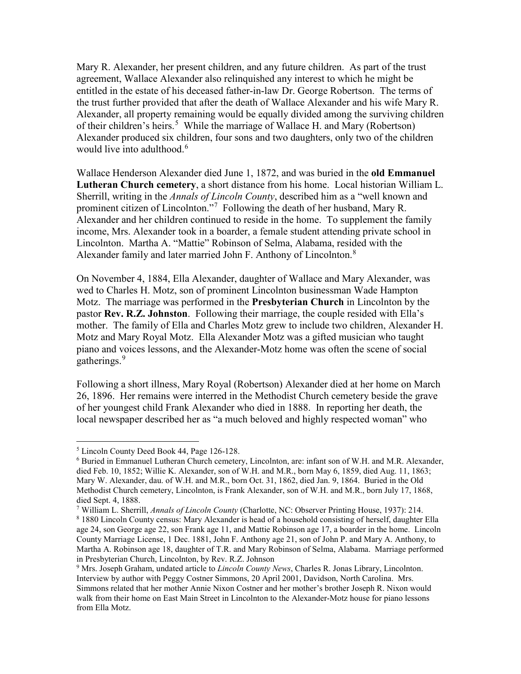Mary R. Alexander, her present children, and any future children. As part of the trust agreement, Wallace Alexander also relinquished any interest to which he might be entitled in the estate of his deceased father-in-law Dr. George Robertson. The terms of the trust further provided that after the death of Wallace Alexander and his wife Mary R. Alexander, all property remaining would be equally divided among the surviving children of their children's heirs.<sup>[5](#page-1-0)</sup> While the marriage of Wallace H. and Mary (Robertson) Alexander produced six children, four sons and two daughters, only two of the children would live into adulthood.<sup>[6](#page-1-1)</sup>

Wallace Henderson Alexander died June 1, 1872, and was buried in the **old Emmanuel Lutheran Church cemetery**, a short distance from his home. Local historian William L. Sherrill, writing in the *Annals of Lincoln County*, described him as a "well known and prominent citizen of Lincolnton."<sup>[7](#page-1-2)</sup> Following the death of her husband, Mary R. Alexander and her children continued to reside in the home. To supplement the family income, Mrs. Alexander took in a boarder, a female student attending private school in Lincolnton. Martha A. "Mattie" Robinson of Selma, Alabama, resided with the Alexander family and later married John F. Anthony of Lincolnton.<sup>[8](#page-1-3)</sup>

On November 4, 1884, Ella Alexander, daughter of Wallace and Mary Alexander, was wed to Charles H. Motz, son of prominent Lincolnton businessman Wade Hampton Motz. The marriage was performed in the **Presbyterian Church** in Lincolnton by the pastor **Rev. R.Z. Johnston**. Following their marriage, the couple resided with Ella's mother. The family of Ella and Charles Motz grew to include two children, Alexander H. Motz and Mary Royal Motz. Ella Alexander Motz was a gifted musician who taught piano and voices lessons, and the Alexander-Motz home was often the scene of social gatherings.<sup>[9](#page-1-4)</sup>

Following a short illness, Mary Royal (Robertson) Alexander died at her home on March 26, 1896. Her remains were interred in the Methodist Church cemetery beside the grave of her youngest child Frank Alexander who died in 1888. In reporting her death, the local newspaper described her as "a much beloved and highly respected woman" who

<span id="page-1-0"></span> <sup>5</sup> Lincoln County Deed Book 44, Page 126-128.

<span id="page-1-1"></span><sup>6</sup> Buried in Emmanuel Lutheran Church cemetery, Lincolnton, are: infant son of W.H. and M.R. Alexander, died Feb. 10, 1852; Willie K. Alexander, son of W.H. and M.R., born May 6, 1859, died Aug. 11, 1863; Mary W. Alexander, dau. of W.H. and M.R., born Oct. 31, 1862, died Jan. 9, 1864. Buried in the Old Methodist Church cemetery, Lincolnton, is Frank Alexander, son of W.H. and M.R., born July 17, 1868, died Sept. 4, 1888.

<span id="page-1-2"></span><sup>7</sup> William L. Sherrill, *Annals of Lincoln County* (Charlotte, NC: Observer Printing House, 1937): 214.

<span id="page-1-3"></span><sup>8</sup> 1880 Lincoln County census: Mary Alexander is head of a household consisting of herself, daughter Ella age 24, son George age 22, son Frank age 11, and Mattie Robinson age 17, a boarder in the home. Lincoln County Marriage License, 1 Dec. 1881, John F. Anthony age 21, son of John P. and Mary A. Anthony, to Martha A. Robinson age 18, daughter of T.R. and Mary Robinson of Selma, Alabama. Marriage performed in Presbyterian Church, Lincolnton, by Rev. R.Z. Johnson

<span id="page-1-4"></span><sup>9</sup> Mrs. Joseph Graham, undated article to *Lincoln County News*, Charles R. Jonas Library, Lincolnton. Interview by author with Peggy Costner Simmons, 20 April 2001, Davidson, North Carolina. Mrs. Simmons related that her mother Annie Nixon Costner and her mother's brother Joseph R. Nixon would walk from their home on East Main Street in Lincolnton to the Alexander-Motz house for piano lessons from Ella Motz.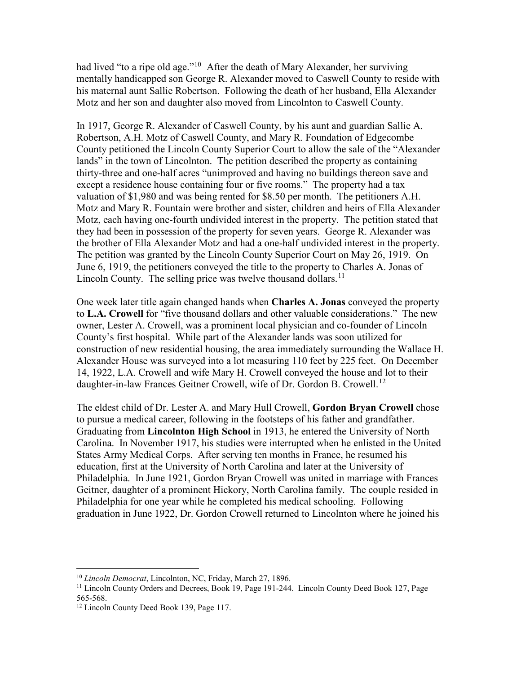had lived "to a ripe old age."<sup>10</sup> After the death of Mary Alexander, her surviving mentally handicapped son George R. Alexander moved to Caswell County to reside with his maternal aunt Sallie Robertson. Following the death of her husband, Ella Alexander Motz and her son and daughter also moved from Lincolnton to Caswell County.

In 1917, George R. Alexander of Caswell County, by his aunt and guardian Sallie A. Robertson, A.H. Motz of Caswell County, and Mary R. Foundation of Edgecombe County petitioned the Lincoln County Superior Court to allow the sale of the "Alexander lands" in the town of Lincolnton. The petition described the property as containing thirty-three and one-half acres "unimproved and having no buildings thereon save and except a residence house containing four or five rooms." The property had a tax valuation of \$1,980 and was being rented for \$8.50 per month. The petitioners A.H. Motz and Mary R. Fountain were brother and sister, children and heirs of Ella Alexander Motz, each having one-fourth undivided interest in the property. The petition stated that they had been in possession of the property for seven years. George R. Alexander was the brother of Ella Alexander Motz and had a one-half undivided interest in the property. The petition was granted by the Lincoln County Superior Court on May 26, 1919. On June 6, 1919, the petitioners conveyed the title to the property to Charles A. Jonas of Lincoln County. The selling price was twelve thousand dollars.<sup>[11](#page-2-1)</sup>

One week later title again changed hands when **Charles A. Jonas** conveyed the property to **L.A. Crowell** for "five thousand dollars and other valuable considerations." The new owner, Lester A. Crowell, was a prominent local physician and co-founder of Lincoln County's first hospital. While part of the Alexander lands was soon utilized for construction of new residential housing, the area immediately surrounding the Wallace H. Alexander House was surveyed into a lot measuring 110 feet by 225 feet. On December 14, 1922, L.A. Crowell and wife Mary H. Crowell conveyed the house and lot to their daughter-in-law Frances Geitner Crowell, wife of Dr. Gordon B. Crowell.<sup>[12](#page-2-2)</sup>

The eldest child of Dr. Lester A. and Mary Hull Crowell, **Gordon Bryan Crowell** chose to pursue a medical career, following in the footsteps of his father and grandfather. Graduating from **Lincolnton High School** in 1913, he entered the University of North Carolina. In November 1917, his studies were interrupted when he enlisted in the United States Army Medical Corps. After serving ten months in France, he resumed his education, first at the University of North Carolina and later at the University of Philadelphia. In June 1921, Gordon Bryan Crowell was united in marriage with Frances Geitner, daughter of a prominent Hickory, North Carolina family. The couple resided in Philadelphia for one year while he completed his medical schooling. Following graduation in June 1922, Dr. Gordon Crowell returned to Lincolnton where he joined his

<span id="page-2-0"></span> <sup>10</sup> *Lincoln Democrat*, Lincolnton, NC, Friday, March 27, 1896.

<span id="page-2-1"></span><sup>&</sup>lt;sup>11</sup> Lincoln County Orders and Decrees, Book 19, Page 191-244. Lincoln County Deed Book 127, Page 565-568.

<span id="page-2-2"></span><sup>&</sup>lt;sup>12</sup> Lincoln County Deed Book 139, Page 117.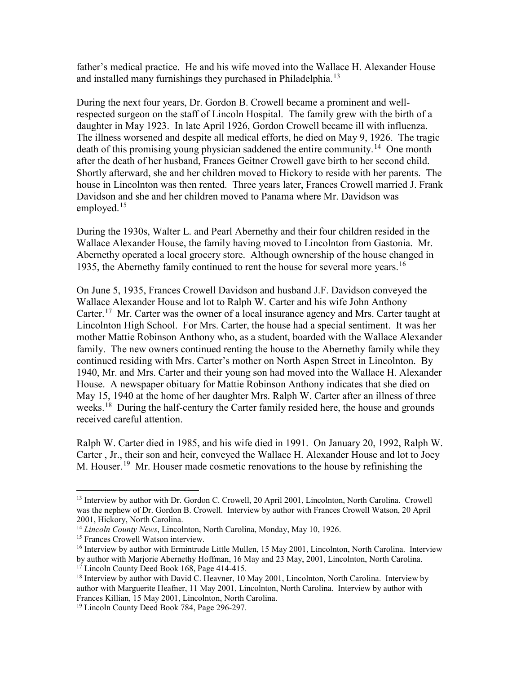father's medical practice. He and his wife moved into the Wallace H. Alexander House and installed many furnishings they purchased in Philadelphia.<sup>[13](#page-3-0)</sup>

During the next four years, Dr. Gordon B. Crowell became a prominent and wellrespected surgeon on the staff of Lincoln Hospital. The family grew with the birth of a daughter in May 1923. In late April 1926, Gordon Crowell became ill with influenza. The illness worsened and despite all medical efforts, he died on May 9, 1926. The tragic death of this promising young physician saddened the entire community.<sup>14</sup> One month after the death of her husband, Frances Geitner Crowell gave birth to her second child. Shortly afterward, she and her children moved to Hickory to reside with her parents. The house in Lincolnton was then rented. Three years later, Frances Crowell married J. Frank Davidson and she and her children moved to Panama where Mr. Davidson was employed. $15$ 

During the 1930s, Walter L. and Pearl Abernethy and their four children resided in the Wallace Alexander House, the family having moved to Lincolnton from Gastonia. Mr. Abernethy operated a local grocery store. Although ownership of the house changed in 1935, the Abernethy family continued to rent the house for several more years.<sup>[16](#page-3-3)</sup>

On June 5, 1935, Frances Crowell Davidson and husband J.F. Davidson conveyed the Wallace Alexander House and lot to Ralph W. Carter and his wife John Anthony Carter.<sup>17</sup> Mr. Carter was the owner of a local insurance agency and Mrs. Carter taught at Lincolnton High School. For Mrs. Carter, the house had a special sentiment. It was her mother Mattie Robinson Anthony who, as a student, boarded with the Wallace Alexander family. The new owners continued renting the house to the Abernethy family while they continued residing with Mrs. Carter's mother on North Aspen Street in Lincolnton. By 1940, Mr. and Mrs. Carter and their young son had moved into the Wallace H. Alexander House. A newspaper obituary for Mattie Robinson Anthony indicates that she died on May 15, 1940 at the home of her daughter Mrs. Ralph W. Carter after an illness of three weeks.<sup>18</sup> During the half-century the Carter family resided here, the house and grounds received careful attention.

Ralph W. Carter died in 1985, and his wife died in 1991. On January 20, 1992, Ralph W. Carter , Jr., their son and heir, conveyed the Wallace H. Alexander House and lot to Joey M. Houser.<sup>[19](#page-3-6)</sup> Mr. Houser made cosmetic renovations to the house by refinishing the

<span id="page-3-0"></span><sup>&</sup>lt;sup>13</sup> Interview by author with Dr. Gordon C. Crowell, 20 April 2001, Lincolnton, North Carolina. Crowell was the nephew of Dr. Gordon B. Crowell. Interview by author with Frances Crowell Watson, 20 April 2001, Hickory, North Carolina.

<span id="page-3-1"></span><sup>14</sup> *Lincoln County News*, Lincolnton, North Carolina, Monday, May 10, 1926.

<span id="page-3-2"></span><sup>&</sup>lt;sup>15</sup> Frances Crowell Watson interview.

<span id="page-3-3"></span><sup>&</sup>lt;sup>16</sup> Interview by author with Ermintrude Little Mullen, 15 May 2001, Lincolnton, North Carolina. Interview by author with Marjorie Abernethy Hoffman, 16 May and 23 May, 2001, Lincolnton, North Carolina.

<sup>&</sup>lt;sup>17</sup> Lincoln County Deed Book 168, Page 414-415.

<span id="page-3-5"></span><span id="page-3-4"></span><sup>&</sup>lt;sup>18</sup> Interview by author with David C. Heavner, 10 May 2001, Lincolnton, North Carolina. Interview by author with Marguerite Heafner, 11 May 2001, Lincolnton, North Carolina. Interview by author with Frances Killian, 15 May 2001, Lincolnton, North Carolina. 19 Lincoln County Deed Book 784, Page 296-297.

<span id="page-3-6"></span>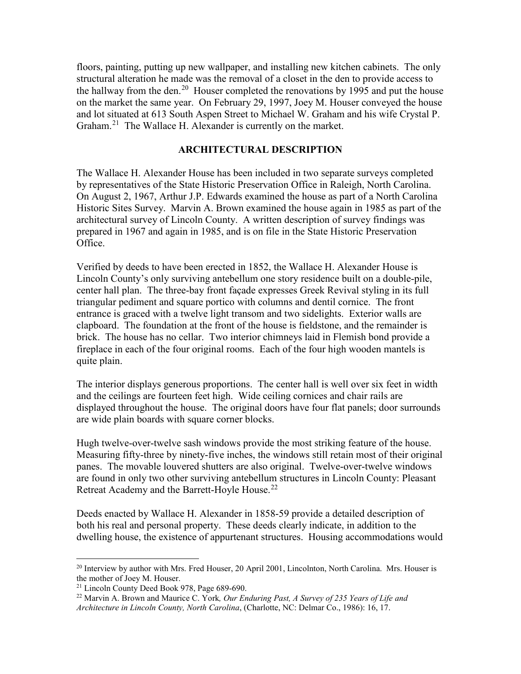floors, painting, putting up new wallpaper, and installing new kitchen cabinets. The only structural alteration he made was the removal of a closet in the den to provide access to the hallway from the den.<sup>20</sup> Houser completed the renovations by 1995 and put the house on the market the same year. On February 29, 1997, Joey M. Houser conveyed the house and lot situated at 613 South Aspen Street to Michael W. Graham and his wife Crystal P. Graham.<sup>[21](#page-4-1)</sup> The Wallace H. Alexander is currently on the market.

## **ARCHITECTURAL DESCRIPTION**

The Wallace H. Alexander House has been included in two separate surveys completed by representatives of the State Historic Preservation Office in Raleigh, North Carolina. On August 2, 1967, Arthur J.P. Edwards examined the house as part of a North Carolina Historic Sites Survey. Marvin A. Brown examined the house again in 1985 as part of the architectural survey of Lincoln County. A written description of survey findings was prepared in 1967 and again in 1985, and is on file in the State Historic Preservation Office.

Verified by deeds to have been erected in 1852, the Wallace H. Alexander House is Lincoln County's only surviving antebellum one story residence built on a double-pile, center hall plan. The three-bay front façade expresses Greek Revival styling in its full triangular pediment and square portico with columns and dentil cornice. The front entrance is graced with a twelve light transom and two sidelights. Exterior walls are clapboard. The foundation at the front of the house is fieldstone, and the remainder is brick. The house has no cellar. Two interior chimneys laid in Flemish bond provide a fireplace in each of the four original rooms. Each of the four high wooden mantels is quite plain.

The interior displays generous proportions. The center hall is well over six feet in width and the ceilings are fourteen feet high. Wide ceiling cornices and chair rails are displayed throughout the house. The original doors have four flat panels; door surrounds are wide plain boards with square corner blocks.

Hugh twelve-over-twelve sash windows provide the most striking feature of the house. Measuring fifty-three by ninety-five inches, the windows still retain most of their original panes. The movable louvered shutters are also original. Twelve-over-twelve windows are found in only two other surviving antebellum structures in Lincoln County: Pleasant Retreat Academy and the Barrett-Hoyle House.<sup>[22](#page-4-2)</sup>

Deeds enacted by Wallace H. Alexander in 1858-59 provide a detailed description of both his real and personal property. These deeds clearly indicate, in addition to the dwelling house, the existence of appurtenant structures. Housing accommodations would

<span id="page-4-0"></span> $^{20}$  Interview by author with Mrs. Fred Houser, 20 April 2001, Lincolnton, North Carolina. Mrs. Houser is the mother of Joey M. Houser.

<span id="page-4-2"></span><span id="page-4-1"></span><sup>21</sup> Lincoln County Deed Book 978, Page 689-690.

<sup>22</sup> Marvin A. Brown and Maurice C. York*, Our Enduring Past, A Survey of 235 Years of Life and Architecture in Lincoln County, North Carolina*, (Charlotte, NC: Delmar Co., 1986): 16, 17.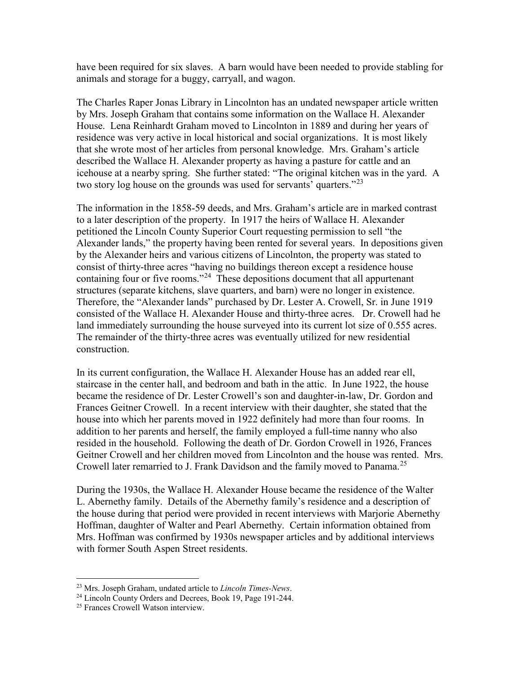have been required for six slaves. A barn would have been needed to provide stabling for animals and storage for a buggy, carryall, and wagon.

The Charles Raper Jonas Library in Lincolnton has an undated newspaper article written by Mrs. Joseph Graham that contains some information on the Wallace H. Alexander House. Lena Reinhardt Graham moved to Lincolnton in 1889 and during her years of residence was very active in local historical and social organizations. It is most likely that she wrote most of her articles from personal knowledge. Mrs. Graham's article described the Wallace H. Alexander property as having a pasture for cattle and an icehouse at a nearby spring. She further stated: "The original kitchen was in the yard. A two story log house on the grounds was used for servants' quarters."<sup>[23](#page-5-0)</sup>

The information in the 1858-59 deeds, and Mrs. Graham's article are in marked contrast to a later description of the property. In 1917 the heirs of Wallace H. Alexander petitioned the Lincoln County Superior Court requesting permission to sell "the Alexander lands," the property having been rented for several years. In depositions given by the Alexander heirs and various citizens of Lincolnton, the property was stated to consist of thirty-three acres "having no buildings thereon except a residence house containing four or five rooms."<sup>[24](#page-5-1)</sup> These depositions document that all appurtenant structures (separate kitchens, slave quarters, and barn) were no longer in existence. Therefore, the "Alexander lands" purchased by Dr. Lester A. Crowell, Sr. in June 1919 consisted of the Wallace H. Alexander House and thirty-three acres. Dr. Crowell had he land immediately surrounding the house surveyed into its current lot size of 0.555 acres. The remainder of the thirty-three acres was eventually utilized for new residential construction.

In its current configuration, the Wallace H. Alexander House has an added rear ell, staircase in the center hall, and bedroom and bath in the attic. In June 1922, the house became the residence of Dr. Lester Crowell's son and daughter-in-law, Dr. Gordon and Frances Geitner Crowell. In a recent interview with their daughter, she stated that the house into which her parents moved in 1922 definitely had more than four rooms. In addition to her parents and herself, the family employed a full-time nanny who also resided in the household. Following the death of Dr. Gordon Crowell in 1926, Frances Geitner Crowell and her children moved from Lincolnton and the house was rented. Mrs. Crowell later remarried to J. Frank Davidson and the family moved to Panama.<sup>[25](#page-5-2)</sup>

During the 1930s, the Wallace H. Alexander House became the residence of the Walter L. Abernethy family. Details of the Abernethy family's residence and a description of the house during that period were provided in recent interviews with Marjorie Abernethy Hoffman, daughter of Walter and Pearl Abernethy. Certain information obtained from Mrs. Hoffman was confirmed by 1930s newspaper articles and by additional interviews with former South Aspen Street residents.

<span id="page-5-0"></span> <sup>23</sup> Mrs. Joseph Graham, undated article to *Lincoln Times-News*.

<span id="page-5-1"></span><sup>&</sup>lt;sup>24</sup> Lincoln County Orders and Decrees, Book 19, Page 191-244.

<span id="page-5-2"></span><sup>25</sup> Frances Crowell Watson interview.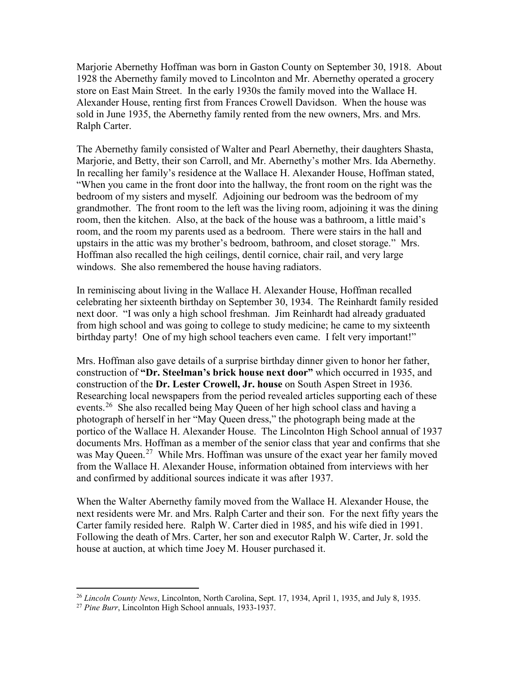Marjorie Abernethy Hoffman was born in Gaston County on September 30, 1918. About 1928 the Abernethy family moved to Lincolnton and Mr. Abernethy operated a grocery store on East Main Street. In the early 1930s the family moved into the Wallace H. Alexander House, renting first from Frances Crowell Davidson. When the house was sold in June 1935, the Abernethy family rented from the new owners, Mrs. and Mrs. Ralph Carter.

The Abernethy family consisted of Walter and Pearl Abernethy, their daughters Shasta, Marjorie, and Betty, their son Carroll, and Mr. Abernethy's mother Mrs. Ida Abernethy. In recalling her family's residence at the Wallace H. Alexander House, Hoffman stated, "When you came in the front door into the hallway, the front room on the right was the bedroom of my sisters and myself. Adjoining our bedroom was the bedroom of my grandmother. The front room to the left was the living room, adjoining it was the dining room, then the kitchen. Also, at the back of the house was a bathroom, a little maid's room, and the room my parents used as a bedroom. There were stairs in the hall and upstairs in the attic was my brother's bedroom, bathroom, and closet storage." Mrs. Hoffman also recalled the high ceilings, dentil cornice, chair rail, and very large windows. She also remembered the house having radiators.

In reminiscing about living in the Wallace H. Alexander House, Hoffman recalled celebrating her sixteenth birthday on September 30, 1934. The Reinhardt family resided next door. "I was only a high school freshman. Jim Reinhardt had already graduated from high school and was going to college to study medicine; he came to my sixteenth birthday party! One of my high school teachers even came. I felt very important!"

Mrs. Hoffman also gave details of a surprise birthday dinner given to honor her father, construction of **"Dr. Steelman's brick house next door"** which occurred in 1935, and construction of the **Dr. Lester Crowell, Jr. house** on South Aspen Street in 1936. Researching local newspapers from the period revealed articles supporting each of these events.<sup>[26](#page-6-0)</sup> She also recalled being May Queen of her high school class and having a photograph of herself in her "May Queen dress," the photograph being made at the portico of the Wallace H. Alexander House. The Lincolnton High School annual of 1937 documents Mrs. Hoffman as a member of the senior class that year and confirms that she was May Queen.<sup>27</sup> While Mrs. Hoffman was unsure of the exact year her family moved from the Wallace H. Alexander House, information obtained from interviews with her and confirmed by additional sources indicate it was after 1937.

When the Walter Abernethy family moved from the Wallace H. Alexander House, the next residents were Mr. and Mrs. Ralph Carter and their son. For the next fifty years the Carter family resided here. Ralph W. Carter died in 1985, and his wife died in 1991. Following the death of Mrs. Carter, her son and executor Ralph W. Carter, Jr. sold the house at auction, at which time Joey M. Houser purchased it.

<span id="page-6-0"></span> <sup>26</sup> *Lincoln County News*, Lincolnton, North Carolina, Sept. 17, 1934, April 1, 1935, and July 8, 1935.

<span id="page-6-1"></span><sup>27</sup> *Pine Burr*, Lincolnton High School annuals, 1933-1937.